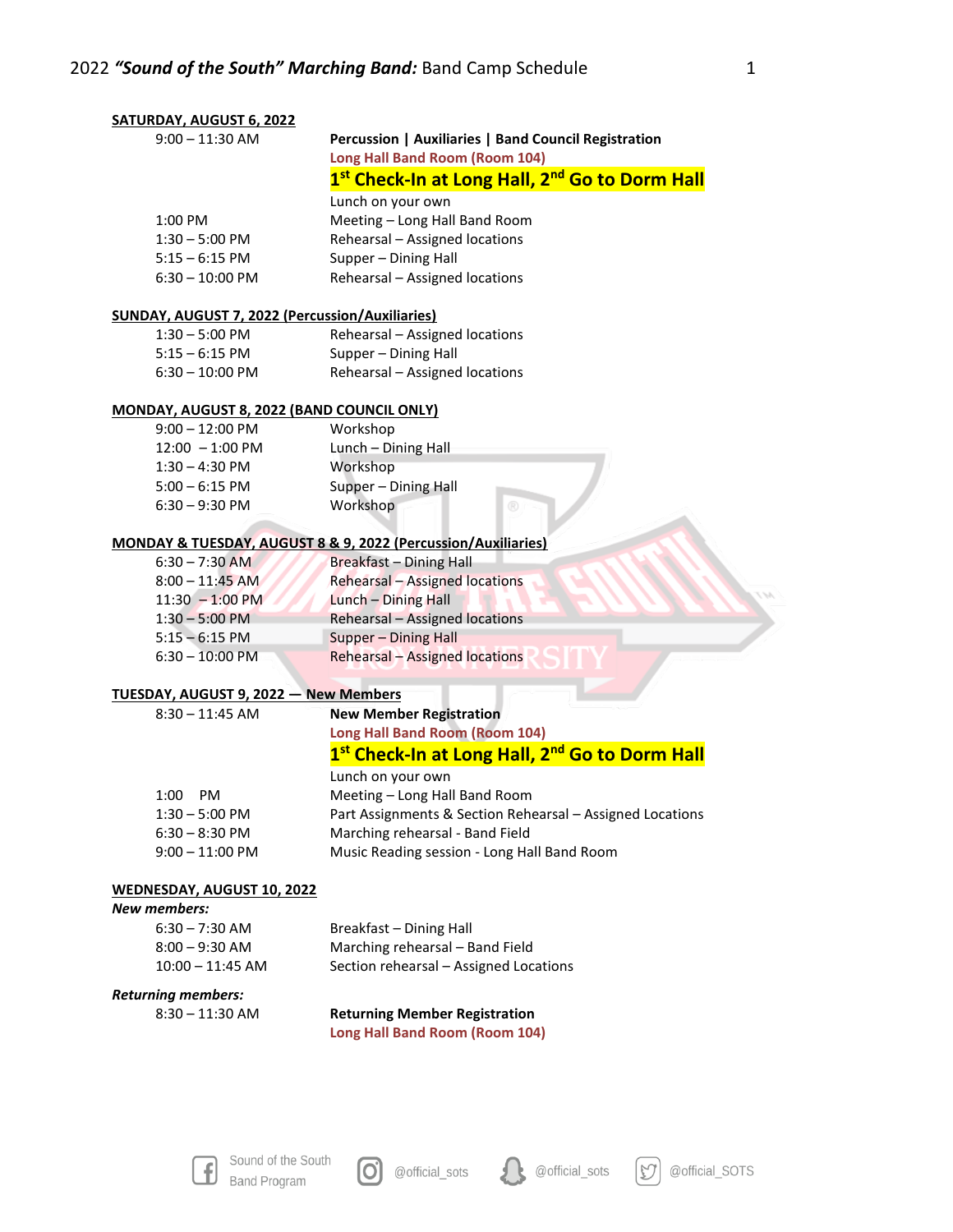| SATURDAY, AUGUST 6, 2022                          |                                                                        |  |
|---------------------------------------------------|------------------------------------------------------------------------|--|
| $9:00 - 11:30$ AM                                 | Percussion   Auxiliaries   Band Council Registration                   |  |
|                                                   | Long Hall Band Room (Room 104)                                         |  |
|                                                   | 1 <sup>st</sup> Check-In at Long Hall, 2 <sup>nd</sup> Go to Dorm Hall |  |
|                                                   | Lunch on your own                                                      |  |
| 1:00 PM                                           | Meeting - Long Hall Band Room                                          |  |
| $1:30 - 5:00$ PM                                  | Rehearsal - Assigned locations                                         |  |
| $5:15 - 6:15$ PM                                  | Supper - Dining Hall                                                   |  |
| $6:30 - 10:00$ PM                                 | Rehearsal - Assigned locations                                         |  |
| SUNDAY, AUGUST 7, 2022 (Percussion/Auxiliaries)   |                                                                        |  |
| $1:30 - 5:00$ PM                                  | Rehearsal - Assigned locations                                         |  |
| $5:15 - 6:15$ PM                                  | Supper - Dining Hall                                                   |  |
| $6:30 - 10:00$ PM                                 | Rehearsal - Assigned locations                                         |  |
|                                                   |                                                                        |  |
| <b>MONDAY, AUGUST 8, 2022 (BAND COUNCIL ONLY)</b> |                                                                        |  |
| $9:00 - 12:00$ PM                                 | Workshop                                                               |  |
| $12:00 - 1:00 \text{ PM}$                         | Lunch - Dining Hall                                                    |  |
| $1:30 - 4:30$ PM                                  | Workshop                                                               |  |
| $5:00 - 6:15$ PM                                  | Supper - Dining Hall                                                   |  |
| $6:30 - 9:30$ PM                                  | Workshop<br>$^{\circledR}$                                             |  |
|                                                   | MONDAY & TUESDAY, AUGUST 8 & 9, 2022 (Percussion/Auxiliaries)          |  |
| $6:30 - 7:30$ AM                                  | <b>Breakfast - Dining Hall</b>                                         |  |
| $8:00 - 11:45$ AM                                 | <b>Rehearsal - Assigned locations</b>                                  |  |
| $11:30 - 1:00 \text{ PM}$                         | Lunch - Dining Hall                                                    |  |
| $1:30 - 5:00$ PM                                  | <b>Rehearsal - Assigned locations</b>                                  |  |
| $5:15 - 6:15$ PM                                  | Supper - Dining Hall                                                   |  |
| $6:30 - 10:00$ PM                                 | <b>Rehearsal - Assigned locations</b>                                  |  |
| TUESDAY, AUGUST 9, 2022 - New Members             |                                                                        |  |
| $8:30 - 11:45$ AM                                 | <b>New Member Registration</b>                                         |  |
|                                                   | <b>Long Hall Band Room (Room 104)</b>                                  |  |
|                                                   | 1 <sup>st</sup> Check-In at Long Hall, 2 <sup>nd</sup> Go to Dorm Hall |  |
|                                                   |                                                                        |  |
|                                                   | Lunch on your own                                                      |  |
| 1:00<br>PM                                        | Meeting - Long Hall Band Room                                          |  |
| $1:30 - 5:00$ PM                                  | Part Assignments & Section Rehearsal - Assigned Locations              |  |
| $6:30 - 8:30$ PM                                  | Marching rehearsal - Band Field                                        |  |
| $9:00 - 11:00$ PM                                 | Music Reading session - Long Hall Band Room                            |  |
| <b>WEDNESDAY, AUGUST 10, 2022</b>                 |                                                                        |  |
| <b>New members:</b>                               |                                                                        |  |
| $6:30 - 7:30$ AM                                  | Breakfast - Dining Hall                                                |  |
| $8:00 - 9:30$ AM                                  | Marching rehearsal - Band Field                                        |  |
| $10:00 - 11:45$ AM                                | Section rehearsal - Assigned Locations                                 |  |
| <b>Returning members:</b>                         |                                                                        |  |
| $8:30 - 11:30$ AM                                 | <b>Returning Member Registration</b>                                   |  |
|                                                   | <b>Long Hall Band Room (Room 104)</b>                                  |  |
|                                                   |                                                                        |  |





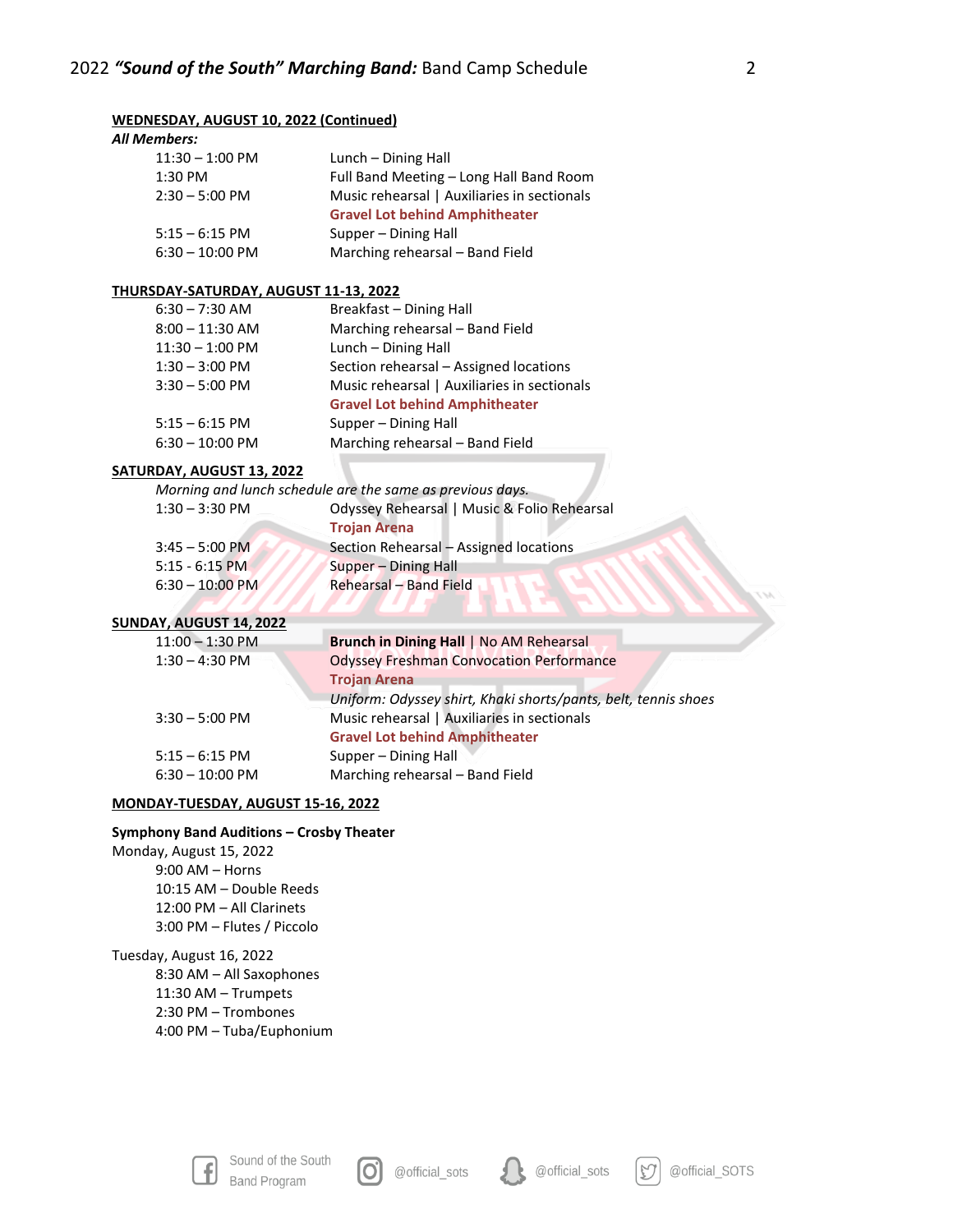# **WEDNESDAY, AUGUST 10, 2022 (Continued)** *All Members:* 11:30 – 1:00 PM Lunch – Dining Hall 1:30 PM Full Band Meeting – Long Hall Band Room 2:30 – 5:00 PM Music rehearsal | Auxiliaries in sectionals **Gravel Lot behind Amphitheater** 5:15 – 6:15 PM Supper – Dining Hall

6:30 – 10:00 PM Marching rehearsal – Band Field

### **THURSDAY-SATURDAY, AUGUST 11-13, 2022**

| $6:30 - 7:30$ AM  | Breakfast - Dining Hall                     |
|-------------------|---------------------------------------------|
| $8:00 - 11:30$ AM | Marching rehearsal - Band Field             |
| $11:30 - 1:00$ PM | Lunch - Dining Hall                         |
| $1:30 - 3:00$ PM  | Section rehearsal - Assigned locations      |
| $3:30 - 5:00$ PM  | Music rehearsal   Auxiliaries in sectionals |
|                   | <b>Gravel Lot behind Amphitheater</b>       |
| $5:15 - 6:15$ PM  | Supper – Dining Hall                        |
| $6:30 - 10:00$ PM | Marching rehearsal - Band Field             |

# **SATURDAY, AUGUST 13, 2022**

*Morning and lunch schedule are the same as previous days.*

| $1:30 - 3:30$ PM  | Odyssey Rehearsal   Music & Folio Rehearsal |
|-------------------|---------------------------------------------|
|                   | <b>Trojan Arena</b>                         |
| $3:45 - 5:00$ PM  | Section Rehearsal - Assigned locations      |
| $5:15 - 6:15$ PM  | Supper - Dining Hall                        |
| $6:30 - 10:00$ PM | Rehearsal - Band Field                      |
|                   |                                             |

#### **SUNDAY, AUGUST 14, 2022**

|  | $11:00 - 1:30$ PM | <b>Brunch in Dining Hall   No AM Rehearsal</b>                 |
|--|-------------------|----------------------------------------------------------------|
|  | $1:30 - 4:30$ PM  | <b>Odyssey Freshman Convocation Performance</b>                |
|  |                   | <b>Trojan Arena</b>                                            |
|  |                   | Uniform: Odyssey shirt, Khaki shorts/pants, belt, tennis shoes |
|  | $3:30 - 5:00$ PM  | Music rehearsal   Auxiliaries in sectionals                    |
|  |                   | <b>Gravel Lot behind Amphitheater</b>                          |
|  | $5:15 - 6:15$ PM  | Supper – Dining Hall                                           |
|  | $6:30 - 10:00$ PM | Marching rehearsal - Band Field                                |
|  |                   |                                                                |

### **MONDAY-TUESDAY, AUGUST 15-16, 2022**

### **Symphony Band Auditions – Crosby Theater**

Monday, August 15, 2022 9:00 AM – Horns 10:15 AM – Double Reeds 12:00 PM – All Clarinets 3:00 PM – Flutes / Piccolo

Tuesday, August 16, 2022 8:30 AM – All Saxophones 11:30 AM – Trumpets 2:30 PM – Trombones 4:00 PM – Tuba/Euphonium